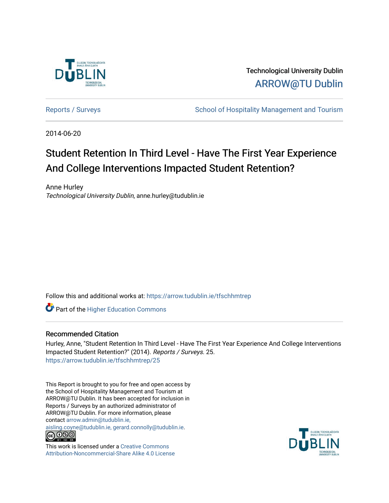

Technological University Dublin [ARROW@TU Dublin](https://arrow.tudublin.ie/) 

[Reports / Surveys](https://arrow.tudublin.ie/tfschhmtrep) **School of Hospitality Management and Tourism** 

2014-06-20

# Student Retention In Third Level - Have The First Year Experience And College Interventions Impacted Student Retention?

Anne Hurley Technological University Dublin, anne.hurley@tudublin.ie

Follow this and additional works at: [https://arrow.tudublin.ie/tfschhmtrep](https://arrow.tudublin.ie/tfschhmtrep?utm_source=arrow.tudublin.ie%2Ftfschhmtrep%2F25&utm_medium=PDF&utm_campaign=PDFCoverPages)

**Part of the Higher Education Commons** 

## Recommended Citation

Hurley, Anne, "Student Retention In Third Level - Have The First Year Experience And College Interventions Impacted Student Retention?" (2014). Reports / Surveys. 25. [https://arrow.tudublin.ie/tfschhmtrep/25](https://arrow.tudublin.ie/tfschhmtrep/25?utm_source=arrow.tudublin.ie%2Ftfschhmtrep%2F25&utm_medium=PDF&utm_campaign=PDFCoverPages) 

This Report is brought to you for free and open access by the School of Hospitality Management and Tourism at ARROW@TU Dublin. It has been accepted for inclusion in Reports / Surveys by an authorized administrator of ARROW@TU Dublin. For more information, please contact [arrow.admin@tudublin.ie,](mailto:arrow.admin@tudublin.ie,%20aisling.coyne@tudublin.ie,%20gerard.connolly@tudublin.ie) 

[aisling.coyne@tudublin.ie, gerard.connolly@tudublin.ie](mailto:arrow.admin@tudublin.ie,%20aisling.coyne@tudublin.ie,%20gerard.connolly@tudublin.ie).<br>
co 000



This work is licensed under a [Creative Commons](http://creativecommons.org/licenses/by-nc-sa/4.0/) [Attribution-Noncommercial-Share Alike 4.0 License](http://creativecommons.org/licenses/by-nc-sa/4.0/)

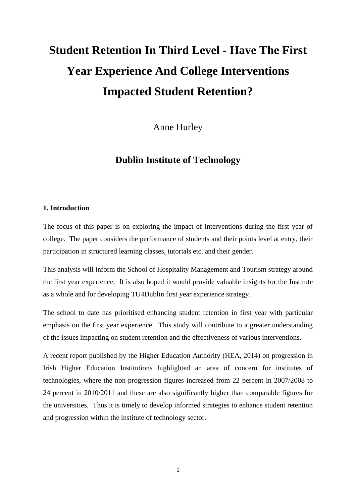# **Student Retention In Third Level - Have The First Year Experience And College Interventions Impacted Student Retention?**

Anne Hurley

# **Dublin Institute of Technology**

## **1. Introduction**

The focus of this paper is on exploring the impact of interventions during the first year of college. The paper considers the performance of students and their points level at entry, their participation in structured learning classes, tutorials etc. and their gender.

This analysis will inform the School of Hospitality Management and Tourism strategy around the first year experience. It is also hoped it would provide valuable insights for the Institute as a whole and for developing TU4Dublin first year experience strategy.

The school to date has prioritised enhancing student retention in first year with particular emphasis on the first year experience. This study will contribute to a greater understanding of the issues impacting on student retention and the effectiveness of various interventions.

A recent report published by the Higher Education Authority (HEA, 2014) on progression in Irish Higher Education Institutions highlighted an area of concern for institutes of technologies, where the non-progression figures increased from 22 percent in 2007/2008 to 24 percent in 2010/2011 and these are also significantly higher than comparable figures for the universities. Thus it is timely to develop informed strategies to enhance student retention and progression within the institute of technology sector.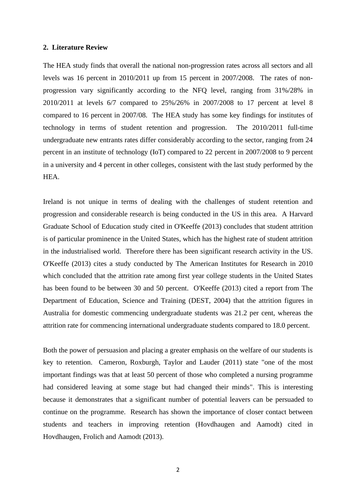#### **2. Literature Review**

The HEA study finds that overall the national non-progression rates across all sectors and all levels was 16 percent in 2010/2011 up from 15 percent in 2007/2008. The rates of nonprogression vary significantly according to the NFQ level, ranging from 31%/28% in 2010/2011 at levels 6/7 compared to 25%/26% in 2007/2008 to 17 percent at level 8 compared to 16 percent in 2007/08. The HEA study has some key findings for institutes of technology in terms of student retention and progression. The 2010/2011 full-time undergraduate new entrants rates differ considerably according to the sector, ranging from 24 percent in an institute of technology (IoT) compared to 22 percent in 2007/2008 to 9 percent in a university and 4 percent in other colleges, consistent with the last study performed by the HEA.

Ireland is not unique in terms of dealing with the challenges of student retention and progression and considerable research is being conducted in the US in this area. A Harvard Graduate School of Education study cited in O'Keeffe (2013) concludes that student attrition is of particular prominence in the United States, which has the highest rate of student attrition in the industrialised world. Therefore there has been significant research activity in the US. O'Keeffe (2013) cites a study conducted by The American Institutes for Research in 2010 which concluded that the attrition rate among first year college students in the United States has been found to be between 30 and 50 percent. O'Keeffe (2013) cited a report from The Department of Education, Science and Training (DEST, 2004) that the attrition figures in Australia for domestic commencing undergraduate students was 21.2 per cent, whereas the attrition rate for commencing international undergraduate students compared to 18.0 percent.

Both the power of persuasion and placing a greater emphasis on the welfare of our students is key to retention. Cameron, Roxburgh, Taylor and Lauder (2011) state "one of the most important findings was that at least 50 percent of those who completed a nursing programme had considered leaving at some stage but had changed their minds". This is interesting because it demonstrates that a significant number of potential leavers can be persuaded to continue on the programme. Research has shown the importance of closer contact between students and teachers in improving retention (Hovdhaugen and Aamodt) cited in Hovdhaugen, Frolich and Aamodt (2013).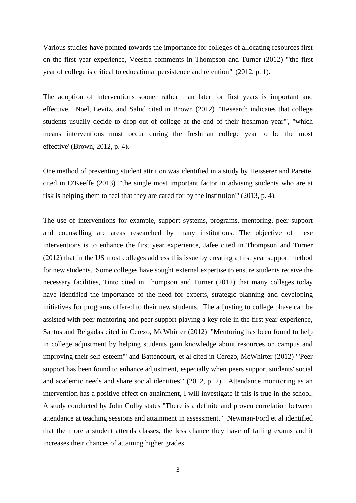Various studies have pointed towards the importance for colleges of allocating resources first on the first year experience, Veesfra comments in Thompson and Turner (2012) "'the first year of college is critical to educational persistence and retention"' (2012, p. 1).

The adoption of interventions sooner rather than later for first years is important and effective. Noel, Levitz, and Salud cited in Brown (2012) "'Research indicates that college students usually decide to drop-out of college at the end of their freshman year"', "which means interventions must occur during the freshman college year to be the most effective"(Brown, 2012, p. 4).

One method of preventing student attrition was identified in a study by Heisserer and Parette, cited in O'Keeffe (2013) "'the single most important factor in advising students who are at risk is helping them to feel that they are cared for by the institution"' (2013, p. 4).

The use of interventions for example, support systems, programs, mentoring, peer support and counselling are areas researched by many institutions. The objective of these interventions is to enhance the first year experience, Jafee cited in Thompson and Turner (2012) that in the US most colleges address this issue by creating a first year support method for new students. Some colleges have sought external expertise to ensure students receive the necessary facilities, Tinto cited in Thompson and Turner (2012) that many colleges today have identified the importance of the need for experts, strategic planning and developing initiatives for programs offered to their new students. The adjusting to college phase can be assisted with peer mentoring and peer support playing a key role in the first year experience, Santos and Reigadas cited in Cerezo, McWhirter (2012) "'Mentoring has been found to help in college adjustment by helping students gain knowledge about resources on campus and improving their self-esteem"' and Battencourt, et al cited in Cerezo, McWhirter (2012) "'Peer support has been found to enhance adjustment, especially when peers support students' social and academic needs and share social identities"' (2012, p. 2). Attendance monitoring as an intervention has a positive effect on attainment, I will investigate if this is true in the school. A study conducted by John Colby states "There is a definite and proven correlation between attendance at teaching sessions and attainment in assessment." Newman-Ford et al identified that the more a student attends classes, the less chance they have of failing exams and it increases their chances of attaining higher grades.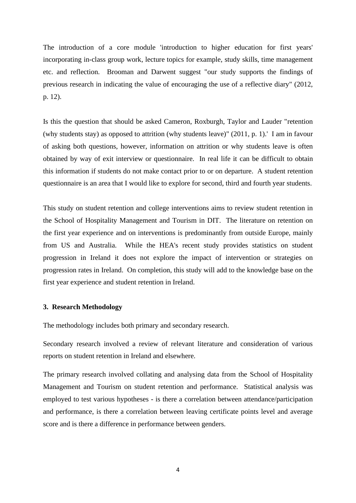The introduction of a core module 'introduction to higher education for first years' incorporating in-class group work, lecture topics for example, study skills, time management etc. and reflection. Brooman and Darwent suggest "our study supports the findings of previous research in indicating the value of encouraging the use of a reflective diary" (2012, p. 12).

Is this the question that should be asked Cameron, Roxburgh, Taylor and Lauder "retention (why students stay) as opposed to attrition (why students leave)" (2011, p. 1).' I am in favour of asking both questions, however, information on attrition or why students leave is often obtained by way of exit interview or questionnaire. In real life it can be difficult to obtain this information if students do not make contact prior to or on departure. A student retention questionnaire is an area that I would like to explore for second, third and fourth year students.

This study on student retention and college interventions aims to review student retention in the School of Hospitality Management and Tourism in DIT. The literature on retention on the first year experience and on interventions is predominantly from outside Europe, mainly from US and Australia. While the HEA's recent study provides statistics on student progression in Ireland it does not explore the impact of intervention or strategies on progression rates in Ireland. On completion, this study will add to the knowledge base on the first year experience and student retention in Ireland.

#### **3. Research Methodology**

The methodology includes both primary and secondary research.

Secondary research involved a review of relevant literature and consideration of various reports on student retention in Ireland and elsewhere.

The primary research involved collating and analysing data from the School of Hospitality Management and Tourism on student retention and performance. Statistical analysis was employed to test various hypotheses - is there a correlation between attendance/participation and performance, is there a correlation between leaving certificate points level and average score and is there a difference in performance between genders.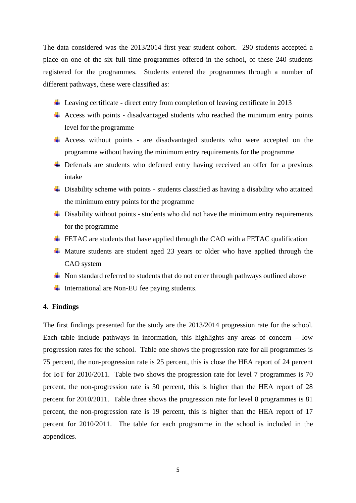The data considered was the 2013/2014 first year student cohort. 290 students accepted a place on one of the six full time programmes offered in the school, of these 240 students registered for the programmes. Students entered the programmes through a number of different pathways, these were classified as:

- $\ddot{+}$  Leaving certificate direct entry from completion of leaving certificate in 2013
- $\overline{\phantom{a}}$  Access with points disadvantaged students who reached the minimum entry points level for the programme
- Access without points are disadvantaged students who were accepted on the programme without having the minimum entry requirements for the programme
- ↓ Deferrals are students who deferred entry having received an offer for a previous intake
- $\overline{\phantom{a}}$  Disability scheme with points students classified as having a disability who attained the minimum entry points for the programme
- $\overline{\phantom{a}}$  Disability without points students who did not have the minimum entry requirements for the programme
- $\div$  FETAC are students that have applied through the CAO with a FETAC qualification
- $\overline{\phantom{a}}$  Mature students are student aged 23 years or older who have applied through the CAO system
- $\overline{\phantom{a}}$  Non standard referred to students that do not enter through pathways outlined above
- $\overline{\phantom{a}}$  International are Non-EU fee paying students.

### **4. Findings**

The first findings presented for the study are the 2013/2014 progression rate for the school. Each table include pathways in information, this highlights any areas of concern  $-$  low progression rates for the school. Table one shows the progression rate for all programmes is 75 percent, the non-progression rate is 25 percent, this is close the HEA report of 24 percent for IoT for 2010/2011. Table two shows the progression rate for level 7 programmes is 70 percent, the non-progression rate is 30 percent, this is higher than the HEA report of 28 percent for 2010/2011. Table three shows the progression rate for level 8 programmes is 81 percent, the non-progression rate is 19 percent, this is higher than the HEA report of 17 percent for 2010/2011. The table for each programme in the school is included in the appendices.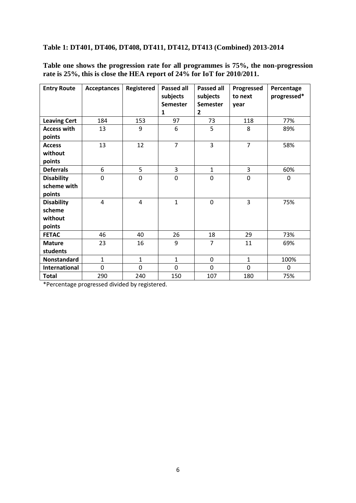# **Table 1: DT401, DT406, DT408, DT411, DT412, DT413 (Combined) 2013-2014**

**Table one shows the progression rate for all programmes is 75%, the non-progression rate is 25%, this is close the HEA report of 24% for IoT for 2010/2011.**

| <b>Entry Route</b>                               | <b>Acceptances</b> | Registered   | <b>Passed all</b><br>subjects<br><b>Semester</b><br>1 | <b>Passed all</b><br>subjects<br><b>Semester</b><br>$\overline{2}$ | Progressed<br>to next<br>year | Percentage<br>progressed* |
|--------------------------------------------------|--------------------|--------------|-------------------------------------------------------|--------------------------------------------------------------------|-------------------------------|---------------------------|
| <b>Leaving Cert</b>                              | 184                | 153          | 97                                                    | 73                                                                 | 118                           | 77%                       |
| <b>Access with</b><br>points                     | 13                 | 9            | 6                                                     | 5                                                                  | 8                             | 89%                       |
| <b>Access</b><br>without<br>points               | 13                 | 12           | $\overline{7}$                                        | $\overline{3}$                                                     | $\overline{7}$                | 58%                       |
| <b>Deferrals</b>                                 | 6                  | 5            | 3                                                     | $\mathbf{1}$                                                       | 3                             | 60%                       |
| <b>Disability</b><br>scheme with<br>points       | 0                  | 0            | $\mathbf 0$                                           | 0                                                                  | $\mathbf 0$                   | 0                         |
| <b>Disability</b><br>scheme<br>without<br>points | $\overline{4}$     | 4            | $\mathbf{1}$                                          | $\mathbf 0$                                                        | 3                             | 75%                       |
| <b>FETAC</b>                                     | 46                 | 40           | 26                                                    | 18                                                                 | 29                            | 73%                       |
| <b>Mature</b><br>students                        | 23                 | 16           | 9                                                     | $\overline{7}$                                                     | 11                            | 69%                       |
| <b>Nonstandard</b>                               | $\mathbf{1}$       | $\mathbf{1}$ | $\mathbf{1}$                                          | 0                                                                  | $\mathbf{1}$                  | 100%                      |
| <b>International</b>                             | 0                  | 0            | $\mathbf 0$                                           | $\mathbf 0$                                                        | 0                             | $\Omega$                  |
| <b>Total</b>                                     | 290                | 240          | 150                                                   | 107                                                                | 180                           | 75%                       |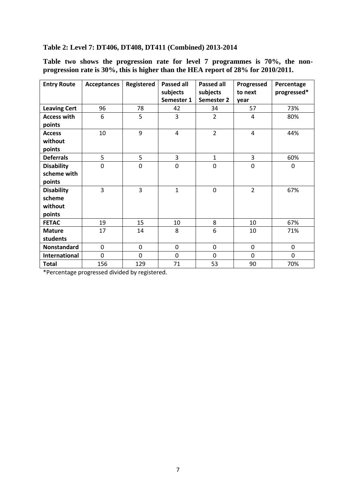# **Table 2: Level 7: DT406, DT408, DT411 (Combined) 2013-2014**

**Table two shows the progression rate for level 7 programmes is 70%, the nonprogression rate is 30%, this is higher than the HEA report of 28% for 2010/2011.** 

| <b>Entry Route</b>  | <b>Acceptances</b> | Registered     | <b>Passed all</b> | <b>Passed all</b> | Progressed     | Percentage  |
|---------------------|--------------------|----------------|-------------------|-------------------|----------------|-------------|
|                     |                    |                | subjects          | subjects          | to next        | progressed* |
|                     |                    |                | Semester 1        | Semester 2        | year           |             |
| <b>Leaving Cert</b> | 96                 | 78             | 42                | 34                | 57             | 73%         |
| <b>Access with</b>  | 6                  | 5              | 3                 | $\overline{2}$    | 4              | 80%         |
| points              |                    |                |                   |                   |                |             |
| <b>Access</b>       | 10                 | 9              | $\overline{4}$    | $\overline{2}$    | $\overline{4}$ | 44%         |
| without             |                    |                |                   |                   |                |             |
| points              |                    |                |                   |                   |                |             |
| <b>Deferrals</b>    | 5                  | 5              | 3                 | $\mathbf{1}$      | 3              | 60%         |
| <b>Disability</b>   | 0                  | $\overline{0}$ | $\mathbf 0$       | $\mathbf 0$       | $\mathbf 0$    | 0           |
| scheme with         |                    |                |                   |                   |                |             |
| points              |                    |                |                   |                   |                |             |
| <b>Disability</b>   | 3                  | 3              | $\mathbf{1}$      | 0                 | $\overline{2}$ | 67%         |
| scheme              |                    |                |                   |                   |                |             |
| without             |                    |                |                   |                   |                |             |
| points              |                    |                |                   |                   |                |             |
| <b>FETAC</b>        | 19                 | 15             | 10                | 8                 | 10             | 67%         |
| <b>Mature</b>       | 17                 | 14             | 8                 | 6                 | 10             | 71%         |
| students            |                    |                |                   |                   |                |             |
| <b>Nonstandard</b>  | $\mathbf 0$        | 0              | $\mathbf 0$       | 0                 | $\mathbf 0$    | $\mathbf 0$ |
| International       | $\mathbf 0$        | 0              | 0                 | 0                 | 0              | 0           |
| <b>Total</b>        | 156                | 129            | 71                | 53                | 90             | 70%         |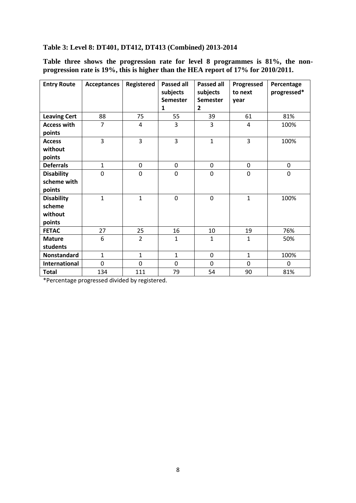# **Table 3: Level 8: DT401, DT412, DT413 (Combined) 2013-2014**

**Table three shows the progression rate for level 8 programmes is 81%, the nonprogression rate is 19%, this is higher than the HEA report of 17% for 2010/2011.**

| <b>Entry Route</b>                               | <b>Acceptances</b> | Registered     | <b>Passed all</b><br>subjects<br><b>Semester</b><br>1 | <b>Passed all</b><br>subjects<br><b>Semester</b><br>2 | Progressed<br>to next<br>year | Percentage<br>progressed* |
|--------------------------------------------------|--------------------|----------------|-------------------------------------------------------|-------------------------------------------------------|-------------------------------|---------------------------|
| <b>Leaving Cert</b>                              | 88                 | 75             | 55                                                    | 39                                                    | 61                            | 81%                       |
| <b>Access with</b><br>points                     | 7                  | 4              | 3                                                     | 3                                                     | 4                             | 100%                      |
| <b>Access</b><br>without<br>points               | 3                  | 3              | 3                                                     | $\mathbf{1}$                                          | 3                             | 100%                      |
| <b>Deferrals</b>                                 | $\mathbf{1}$       | 0              | 0                                                     | $\mathbf 0$                                           | 0                             | 0                         |
| <b>Disability</b><br>scheme with<br>points       | 0                  | 0              | 0                                                     | 0                                                     | 0                             | $\mathbf 0$               |
| <b>Disability</b><br>scheme<br>without<br>points | $\mathbf{1}$       | $\mathbf{1}$   | 0                                                     | $\mathbf 0$                                           | $\mathbf{1}$                  | 100%                      |
| <b>FETAC</b>                                     | 27                 | 25             | 16                                                    | 10                                                    | 19                            | 76%                       |
| <b>Mature</b><br>students                        | 6                  | $\overline{2}$ | $\mathbf{1}$                                          | $\mathbf{1}$                                          | $\mathbf{1}$                  | 50%                       |
| Nonstandard                                      | $\mathbf{1}$       | $\mathbf{1}$   | $\mathbf{1}$                                          | 0                                                     | $\mathbf{1}$                  | 100%                      |
| <b>International</b>                             | 0                  | $\overline{0}$ | 0                                                     | $\mathbf 0$                                           | $\mathbf 0$                   | 0                         |
| <b>Total</b>                                     | 134                | 111            | 79                                                    | 54                                                    | 90                            | 81%                       |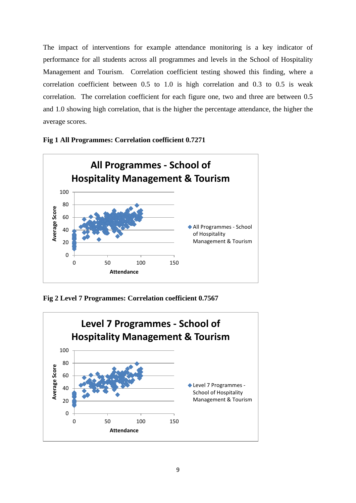The impact of interventions for example attendance monitoring is a key indicator of performance for all students across all programmes and levels in the School of Hospitality Management and Tourism. Correlation coefficient testing showed this finding, where a correlation coefficient between 0.5 to 1.0 is high correlation and 0.3 to 0.5 is weak correlation. The correlation coefficient for each figure one, two and three are between 0.5 and 1.0 showing high correlation, that is the higher the percentage attendance, the higher the average scores.



#### **Fig 1 All Programmes: Correlation coefficient 0.7271**

**Fig 2 Level 7 Programmes: Correlation coefficient 0.7567**

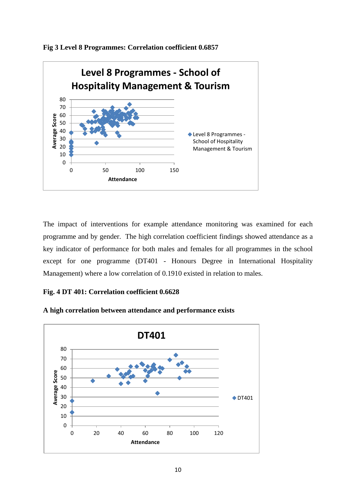



The impact of interventions for example attendance monitoring was examined for each programme and by gender. The high correlation coefficient findings showed attendance as a key indicator of performance for both males and females for all programmes in the school except for one programme (DT401 - Honours Degree in International Hospitality Management) where a low correlation of 0.1910 existed in relation to males.

## **Fig. 4 DT 401: Correlation coefficient 0.6628**



**A high correlation between attendance and performance exists**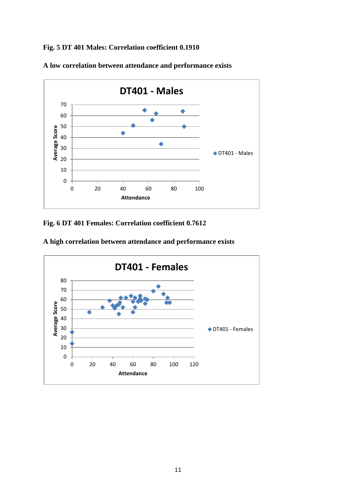**Fig. 5 DT 401 Males: Correlation coefficient 0.1910**



**A low correlation between attendance and performance exists**

**Fig. 6 DT 401 Females: Correlation coefficient 0.7612**

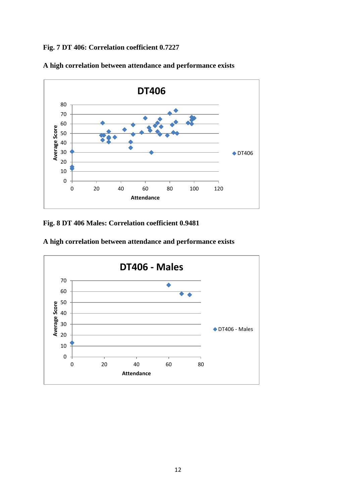**Fig. 7 DT 406: Correlation coefficient 0.7227**



**A high correlation between attendance and performance exists**

**Fig. 8 DT 406 Males: Correlation coefficient 0.9481**

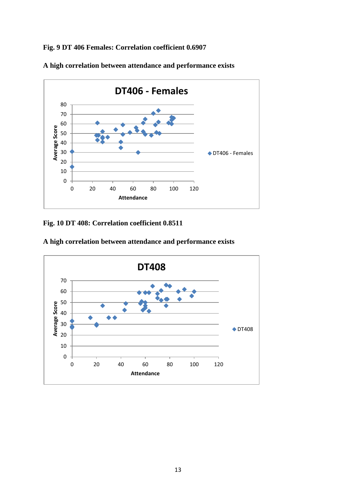**Fig. 9 DT 406 Females: Correlation coefficient 0.6907**



**A high correlation between attendance and performance exists**

**Fig. 10 DT 408: Correlation coefficient 0.8511**

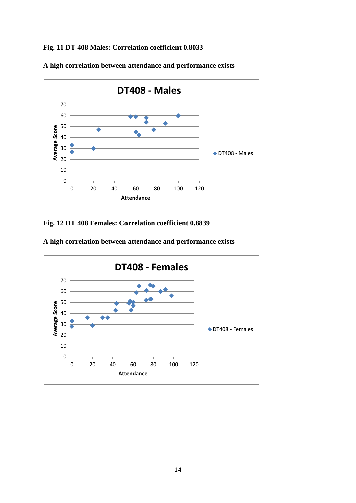**Fig. 11 DT 408 Males: Correlation coefficient 0.8033**



**A high correlation between attendance and performance exists**

**Fig. 12 DT 408 Females: Correlation coefficient 0.8839**

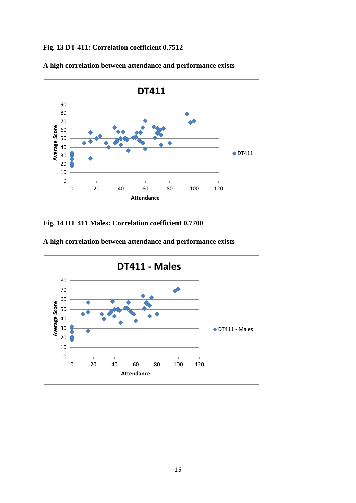**Fig. 13 DT 411: Correlation coefficient 0.7512**



**A high correlation between attendance and performance exists**

**Fig. 14 DT 411 Males: Correlation coefficient 0.7700**

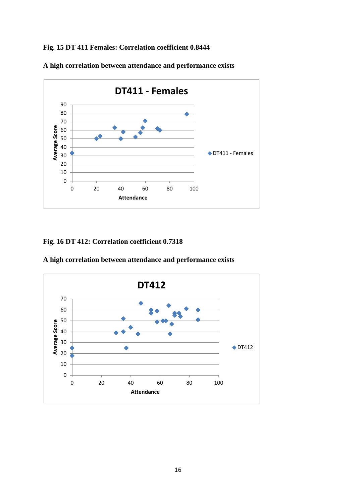# **Fig. 15 DT 411 Females: Correlation coefficient 0.8444**



**A high correlation between attendance and performance exists**

# **Fig. 16 DT 412: Correlation coefficient 0.7318**



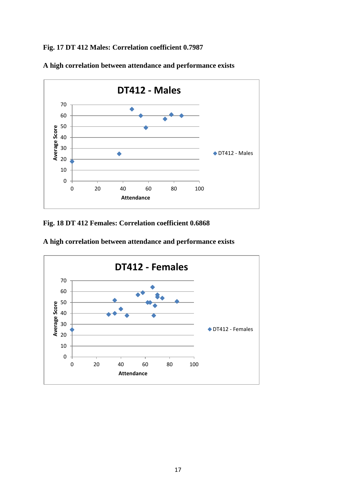**Fig. 17 DT 412 Males: Correlation coefficient 0.7987**



**A high correlation between attendance and performance exists**

**Fig. 18 DT 412 Females: Correlation coefficient 0.6868**

 20 40 60 80 100 **Average Score Attendance DT412 - Females** DT412 - Females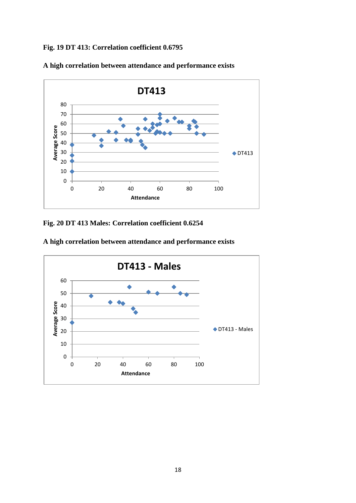**Fig. 19 DT 413: Correlation coefficient 0.6795**



**Fig. 20 DT 413 Males: Correlation coefficient 0.6254**



**A high correlation between attendance and performance exists**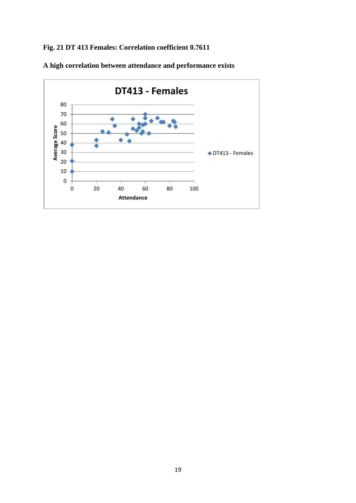# **Fig. 21 DT 413 Females: Correlation coefficient 0.7611**

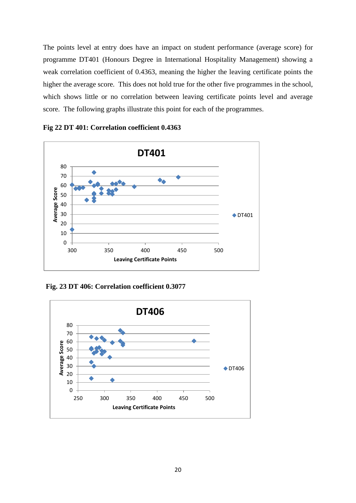The points level at entry does have an impact on student performance (average score) for programme DT401 (Honours Degree in International Hospitality Management) showing a weak correlation coefficient of 0.4363, meaning the higher the leaving certificate points the higher the average score. This does not hold true for the other five programmes in the school, which shows little or no correlation between leaving certificate points level and average score. The following graphs illustrate this point for each of the programmes.





**Fig. 23 DT 406: Correlation coefficient 0.3077**

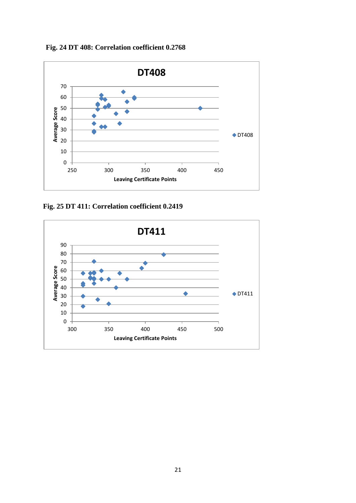**Fig. 24 DT 408: Correlation coefficient 0.2768**



**Fig. 25 DT 411: Correlation coefficient 0.2419**

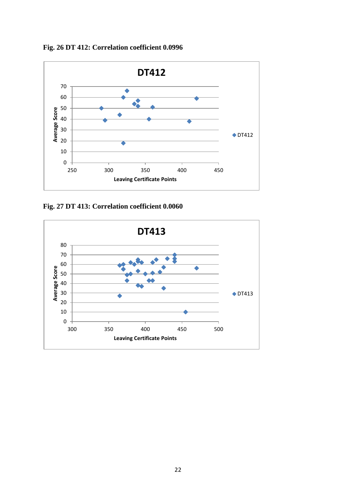**Fig. 26 DT 412: Correlation coefficient 0.0996**



**Fig. 27 DT 413: Correlation coefficient 0.0060**

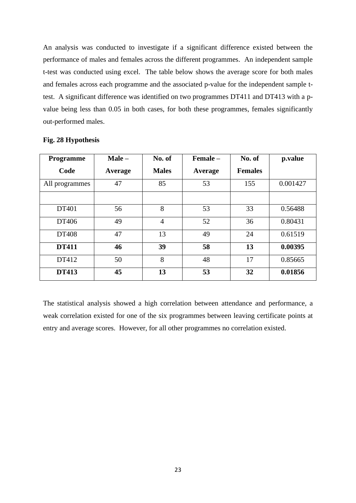An analysis was conducted to investigate if a significant difference existed between the performance of males and females across the different programmes. An independent sample t-test was conducted using excel. The table below shows the average score for both males and females across each programme and the associated p-value for the independent sample ttest. A significant difference was identified on two programmes DT411 and DT413 with a pvalue being less than 0.05 in both cases, for both these programmes, females significantly out-performed males.

| <b>Programme</b> | $Male -$ | No. of         | Female - | No. of         | p.value  |
|------------------|----------|----------------|----------|----------------|----------|
| Code             | Average  | <b>Males</b>   | Average  | <b>Females</b> |          |
| All programmes   | 47       | 85             | 53       | 155            | 0.001427 |
|                  |          |                |          |                |          |
| DT401            | 56       | 8              | 53       | 33             | 0.56488  |
| DT406            | 49       | $\overline{4}$ | 52       | 36             | 0.80431  |
| DT408            | 47       | 13             | 49       | 24             | 0.61519  |
| <b>DT411</b>     | 46       | 39             | 58       | 13             | 0.00395  |
| DT412            | 50       | 8              | 48       | 17             | 0.85665  |
| <b>DT413</b>     | 45       | 13             | 53       | 32             | 0.01856  |

#### **Fig. 28 Hypothesis**

The statistical analysis showed a high correlation between attendance and performance, a weak correlation existed for one of the six programmes between leaving certificate points at entry and average scores. However, for all other programmes no correlation existed.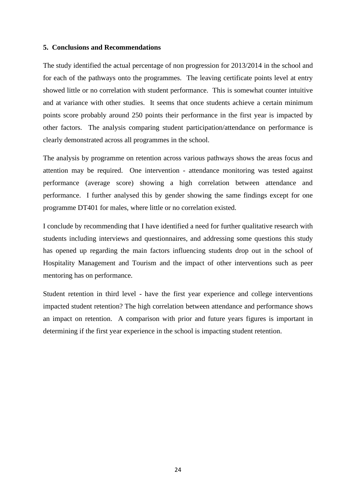#### **5. Conclusions and Recommendations**

The study identified the actual percentage of non progression for 2013/2014 in the school and for each of the pathways onto the programmes. The leaving certificate points level at entry showed little or no correlation with student performance. This is somewhat counter intuitive and at variance with other studies. It seems that once students achieve a certain minimum points score probably around 250 points their performance in the first year is impacted by other factors. The analysis comparing student participation/attendance on performance is clearly demonstrated across all programmes in the school.

The analysis by programme on retention across various pathways shows the areas focus and attention may be required. One intervention - attendance monitoring was tested against performance (average score) showing a high correlation between attendance and performance. I further analysed this by gender showing the same findings except for one programme DT401 for males, where little or no correlation existed.

I conclude by recommending that I have identified a need for further qualitative research with students including interviews and questionnaires, and addressing some questions this study has opened up regarding the main factors influencing students drop out in the school of Hospitality Management and Tourism and the impact of other interventions such as peer mentoring has on performance.

Student retention in third level - have the first year experience and college interventions impacted student retention? The high correlation between attendance and performance shows an impact on retention. A comparison with prior and future years figures is important in determining if the first year experience in the school is impacting student retention.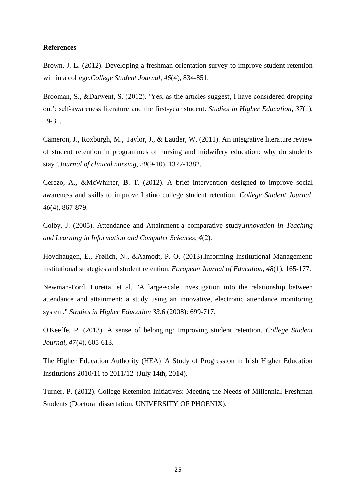#### **References**

Brown, J. L. (2012). Developing a freshman orientation survey to improve student retention within a college.*College Student Journal, 46*(4), 834-851.

Brooman, S., &Darwent, S. (2012). 'Yes, as the articles suggest, I have considered dropping out': self-awareness literature and the first-year student. *Studies in Higher Education, 37*(1), 19-31.

Cameron, J., Roxburgh, M., Taylor, J., & Lauder, W. (2011). An integrative literature review of student retention in programmes of nursing and midwifery education: why do students stay?.*Journal of clinical nursing, 20*(9-10), 1372-1382.

Cerezo, A., &McWhirter, B. T. (2012). A brief intervention designed to improve social awareness and skills to improve Latino college student retention. *College Student Journal, 46*(4), 867-879.

Colby, J. (2005). Attendance and Attainment-a comparative study.*Innovation in Teaching and Learning in Information and Computer Sciences, 4*(2).

Hovdhaugen, E., Frølich, N., &Aamodt, P. O. (2013).Informing Institutional Management: institutional strategies and student retention. *European Journal of Education, 48*(1), 165-177.

Newman-Ford, Loretta, et al. "A large-scale investigation into the relationship between attendance and attainment: a study using an innovative, electronic attendance monitoring system." *Studies in Higher Education 33*.6 (2008): 699-717.

O'Keeffe, P. (2013). A sense of belonging: Improving student retention. *College Student Journal, 47*(4), 605-613.

The Higher Education Authority (HEA) 'A Study of Progression in Irish Higher Education Institutions 2010/11 to 2011/12' (July 14th, 2014).

Turner, P. (2012). College Retention Initiatives: Meeting the Needs of Millennial Freshman Students (Doctoral dissertation, UNIVERSITY OF PHOENIX).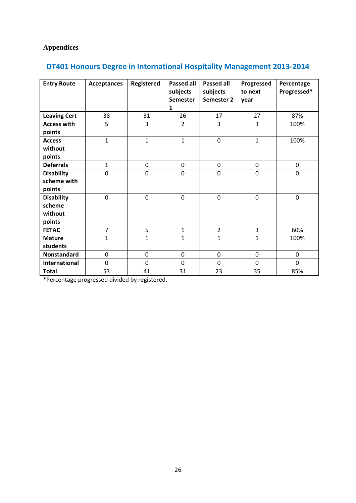# **Appendices**

| <b>Entry Route</b>   | <b>Acceptances</b> | <b>Registered</b> | <b>Passed all</b><br>subjects<br><b>Semester</b><br>1 | <b>Passed all</b><br>subjects<br>Semester 2 | Progressed<br>to next<br>year | Percentage<br>Progressed* |
|----------------------|--------------------|-------------------|-------------------------------------------------------|---------------------------------------------|-------------------------------|---------------------------|
| <b>Leaving Cert</b>  | 38                 | 31                | 26                                                    | 17                                          | 27                            | 87%                       |
| <b>Access with</b>   | 5                  | 3                 | $\overline{2}$                                        | 3                                           | 3                             | 100%                      |
| points               |                    |                   |                                                       |                                             |                               |                           |
| <b>Access</b>        | $\mathbf 1$        | $\mathbf{1}$      | $\mathbf{1}$                                          | $\pmb{0}$                                   | $\mathbf{1}$                  | 100%                      |
| without              |                    |                   |                                                       |                                             |                               |                           |
| points               |                    |                   |                                                       |                                             |                               |                           |
| <b>Deferrals</b>     | $\mathbf{1}$       | $\pmb{0}$         | $\pmb{0}$                                             | 0                                           | $\pmb{0}$                     | 0                         |
| <b>Disability</b>    | $\overline{0}$     | $\mathbf 0$       | $\overline{0}$                                        | $\mathbf 0$                                 | 0                             | 0                         |
| scheme with          |                    |                   |                                                       |                                             |                               |                           |
| points               |                    |                   |                                                       |                                             |                               |                           |
| <b>Disability</b>    | $\mathbf 0$        | $\mathbf 0$       | $\overline{0}$                                        | $\pmb{0}$                                   | $\boldsymbol{0}$              | 0                         |
| scheme               |                    |                   |                                                       |                                             |                               |                           |
| without              |                    |                   |                                                       |                                             |                               |                           |
| points               |                    |                   |                                                       |                                             |                               |                           |
| <b>FETAC</b>         | $\overline{7}$     | 5                 | $\mathbf{1}$                                          | $\overline{2}$                              | 3                             | 60%                       |
| <b>Mature</b>        | $\mathbf{1}$       | $\mathbf{1}$      | $\mathbf{1}$                                          | $\mathbf{1}$                                | $\mathbf{1}$                  | 100%                      |
| students             |                    |                   |                                                       |                                             |                               |                           |
| <b>Nonstandard</b>   | 0                  | $\pmb{0}$         | 0                                                     | 0                                           | 0                             | 0                         |
| <b>International</b> | $\mathbf 0$        | $\mathbf 0$       | $\mathbf 0$                                           | $\mathbf 0$                                 | 0                             | 0                         |
| <b>Total</b>         | 53                 | 41                | 31                                                    | 23                                          | 35                            | 85%                       |

# **DT401 Honours Degree in International Hospitality Management 2013-2014**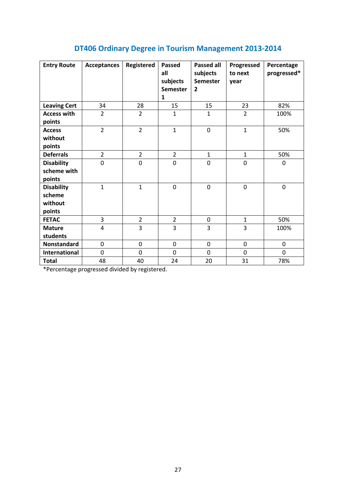# **DT406 Ordinary Degree in Tourism Management 2013-2014**

| <b>Entry Route</b>                               | <b>Acceptances</b> | <b>Registered</b> | <b>Passed</b><br>all<br>subjects<br><b>Semester</b><br>$\mathbf{1}$ | <b>Passed all</b><br>subjects<br><b>Semester</b><br>$\overline{2}$ | Progressed<br>to next<br>year | Percentage<br>progressed* |
|--------------------------------------------------|--------------------|-------------------|---------------------------------------------------------------------|--------------------------------------------------------------------|-------------------------------|---------------------------|
| <b>Leaving Cert</b>                              | 34                 | 28                | 15                                                                  | 15                                                                 | 23                            | 82%                       |
| <b>Access with</b><br>points                     | $\overline{2}$     | $\overline{2}$    | $\mathbf{1}$                                                        | $\mathbf{1}$                                                       | $\overline{2}$                | 100%                      |
| <b>Access</b><br>without<br>points               | $\overline{2}$     | $\overline{2}$    | $\mathbf{1}$                                                        | $\mathbf 0$                                                        | $\mathbf{1}$                  | 50%                       |
| <b>Deferrals</b>                                 | $\overline{2}$     | $\overline{2}$    | $\overline{2}$                                                      | $\mathbf{1}$                                                       | $\mathbf{1}$                  | 50%                       |
| <b>Disability</b><br>scheme with<br>points       | 0                  | $\mathbf 0$       | 0                                                                   | 0                                                                  | 0                             | 0                         |
| <b>Disability</b><br>scheme<br>without<br>points | $\mathbf{1}$       | $\mathbf{1}$      | 0                                                                   | $\mathbf 0$                                                        | $\mathbf 0$                   | $\mathbf 0$               |
| <b>FETAC</b>                                     | 3                  | $\overline{2}$    | $\overline{2}$                                                      | 0                                                                  | $\mathbf{1}$                  | 50%                       |
| <b>Mature</b><br>students                        | $\overline{4}$     | 3                 | 3                                                                   | 3                                                                  | 3                             | 100%                      |
| Nonstandard                                      | $\mathbf 0$        | $\mathbf 0$       | 0                                                                   | 0                                                                  | $\mathbf 0$                   | 0                         |
| <b>International</b>                             | $\mathbf 0$        | $\mathbf 0$       | 0                                                                   | 0                                                                  | $\mathbf 0$                   | 0                         |
| <b>Total</b>                                     | 48                 | 40                | 24                                                                  | 20                                                                 | 31                            | 78%                       |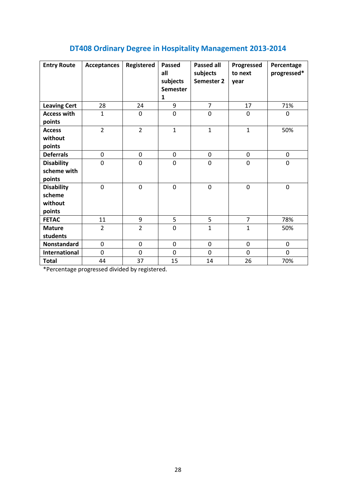# **DT408 Ordinary Degree in Hospitality Management 2013-2014**

| <b>Entry Route</b>    | <b>Acceptances</b> | Registered     | Passed<br>all<br>subjects<br><b>Semester</b><br>1 | <b>Passed all</b><br>subjects<br>Semester 2 | Progressed<br>to next<br>year | Percentage<br>progressed* |
|-----------------------|--------------------|----------------|---------------------------------------------------|---------------------------------------------|-------------------------------|---------------------------|
| <b>Leaving Cert</b>   | 28                 | 24             | 9                                                 | $\overline{7}$                              | 17                            | 71%                       |
| <b>Access with</b>    | $\mathbf{1}$       | 0              | $\mathbf 0$                                       | $\mathbf 0$                                 | 0                             | 0                         |
| points                |                    |                |                                                   |                                             |                               |                           |
| <b>Access</b>         | $\overline{2}$     | $\overline{2}$ | $\mathbf{1}$                                      | $\mathbf{1}$                                | $\mathbf{1}$                  | 50%                       |
| without               |                    |                |                                                   |                                             |                               |                           |
| points                |                    |                |                                                   |                                             |                               |                           |
| <b>Deferrals</b>      | 0                  | 0              | $\mathbf 0$                                       | $\mathbf 0$                                 | 0                             | 0                         |
| <b>Disability</b>     | 0                  | 0              | 0                                                 | $\mathbf 0$                                 | 0                             | 0                         |
| scheme with<br>points |                    |                |                                                   |                                             |                               |                           |
| <b>Disability</b>     | $\mathbf 0$        | $\mathbf 0$    | $\mathbf 0$                                       | $\mathbf 0$                                 | $\mathbf 0$                   | $\mathbf 0$               |
| scheme                |                    |                |                                                   |                                             |                               |                           |
| without               |                    |                |                                                   |                                             |                               |                           |
| points                |                    |                |                                                   |                                             |                               |                           |
| <b>FETAC</b>          | 11                 | 9              | 5                                                 | 5                                           | $\overline{7}$                | 78%                       |
| <b>Mature</b>         | $\overline{2}$     | $\overline{2}$ | $\overline{0}$                                    | $\mathbf{1}$                                | $\mathbf{1}$                  | 50%                       |
| students              |                    |                |                                                   |                                             |                               |                           |
| Nonstandard           | 0                  | 0              | $\mathbf 0$                                       | $\mathbf 0$                                 | 0                             | 0                         |
| International         | 0                  | 0              | $\mathbf 0$                                       | $\mathbf 0$                                 | 0                             | 0                         |
| <b>Total</b>          | 44                 | 37             | 15                                                | 14                                          | 26                            | 70%                       |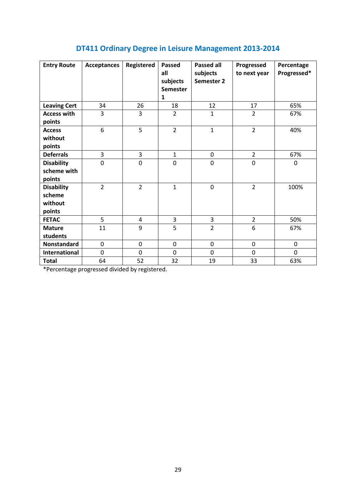| DT411 Ordinary Degree in Leisure Management 2013-2014 |  |  |  |  |
|-------------------------------------------------------|--|--|--|--|
|-------------------------------------------------------|--|--|--|--|

| <b>Entry Route</b>                               | <b>Acceptances</b> | Registered     | <b>Passed</b><br>all<br>subjects<br><b>Semester</b><br>1 | <b>Passed all</b><br>subjects<br>Semester 2 | Progressed<br>to next year | Percentage<br>Progressed* |
|--------------------------------------------------|--------------------|----------------|----------------------------------------------------------|---------------------------------------------|----------------------------|---------------------------|
| <b>Leaving Cert</b>                              | 34                 | 26             | 18                                                       | 12                                          | 17                         | 65%                       |
| <b>Access with</b><br>points                     | 3                  | 3              | $\overline{2}$                                           | $\mathbf{1}$                                | $\overline{2}$             | 67%                       |
| <b>Access</b><br>without<br>points               | 6                  | 5              | $\overline{2}$                                           | $\mathbf 1$                                 | $\overline{2}$             | 40%                       |
| <b>Deferrals</b>                                 | 3                  | 3              | $\mathbf{1}$                                             | 0                                           | $\overline{2}$             | 67%                       |
| <b>Disability</b><br>scheme with<br>points       | 0                  | 0              | $\mathbf 0$                                              | 0                                           | 0                          | 0                         |
| <b>Disability</b><br>scheme<br>without<br>points | $\overline{2}$     | $\overline{2}$ | $\mathbf{1}$                                             | $\mathbf 0$                                 | $\overline{2}$             | 100%                      |
| <b>FETAC</b>                                     | 5                  | 4              | 3                                                        | 3                                           | $\overline{2}$             | 50%                       |
| <b>Mature</b><br>students                        | 11                 | 9              | 5                                                        | $\overline{2}$                              | 6                          | 67%                       |
| <b>Nonstandard</b>                               | $\mathbf 0$        | $\mathbf 0$    | $\mathbf 0$                                              | 0                                           | 0                          | 0                         |
| <b>International</b>                             | 0                  | $\mathbf 0$    | $\mathbf 0$                                              | 0                                           | 0                          | $\mathbf 0$               |
| <b>Total</b>                                     | 64                 | 52             | 32                                                       | 19                                          | 33                         | 63%                       |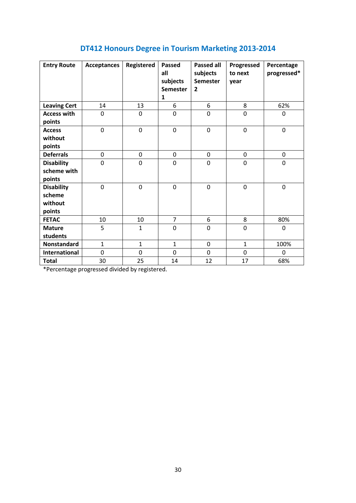|  |  | DT412 Honours Degree in Tourism Marketing 2013-2014 |
|--|--|-----------------------------------------------------|
|  |  |                                                     |

| <b>Entry Route</b>                               | <b>Acceptances</b> | Registered     | <b>Passed</b><br>all<br>subjects<br><b>Semester</b><br>$\mathbf{1}$ | <b>Passed all</b><br>subjects<br><b>Semester</b><br>$\overline{2}$ | Progressed<br>to next<br>year | Percentage<br>progressed* |
|--------------------------------------------------|--------------------|----------------|---------------------------------------------------------------------|--------------------------------------------------------------------|-------------------------------|---------------------------|
| <b>Leaving Cert</b>                              | 14                 | 13             | 6                                                                   | 6                                                                  | 8                             | 62%                       |
| <b>Access with</b><br>points                     | 0                  | 0              | 0                                                                   | $\mathbf 0$                                                        | 0                             | 0                         |
| <b>Access</b><br>without<br>points               | 0                  | $\mathbf 0$    | $\mathbf 0$                                                         | $\mathbf 0$                                                        | $\mathbf 0$                   | 0                         |
| <b>Deferrals</b>                                 | 0                  | 0              | 0                                                                   | $\mathbf 0$                                                        | 0                             | 0                         |
| <b>Disability</b><br>scheme with<br>points       | 0                  | 0              | 0                                                                   | $\mathbf 0$                                                        | 0                             | 0                         |
| <b>Disability</b><br>scheme<br>without<br>points | $\overline{0}$     | $\overline{0}$ | $\mathbf 0$                                                         | $\mathbf 0$                                                        | $\mathbf 0$                   | $\mathbf 0$               |
| <b>FETAC</b>                                     | 10                 | 10             | $\overline{7}$                                                      | 6                                                                  | 8                             | 80%                       |
| <b>Mature</b><br>students                        | 5                  | $\mathbf{1}$   | $\boldsymbol{0}$                                                    | 0                                                                  | $\mathbf 0$                   | 0                         |
| Nonstandard                                      | $\mathbf{1}$       | $\mathbf{1}$   | $\mathbf{1}$                                                        | $\mathbf 0$                                                        | $\mathbf{1}$                  | 100%                      |
| <b>International</b>                             | 0                  | 0              | 0                                                                   | $\mathbf 0$                                                        | 0                             | 0                         |
| <b>Total</b>                                     | 30                 | 25             | 14                                                                  | 12                                                                 | 17                            | 68%                       |